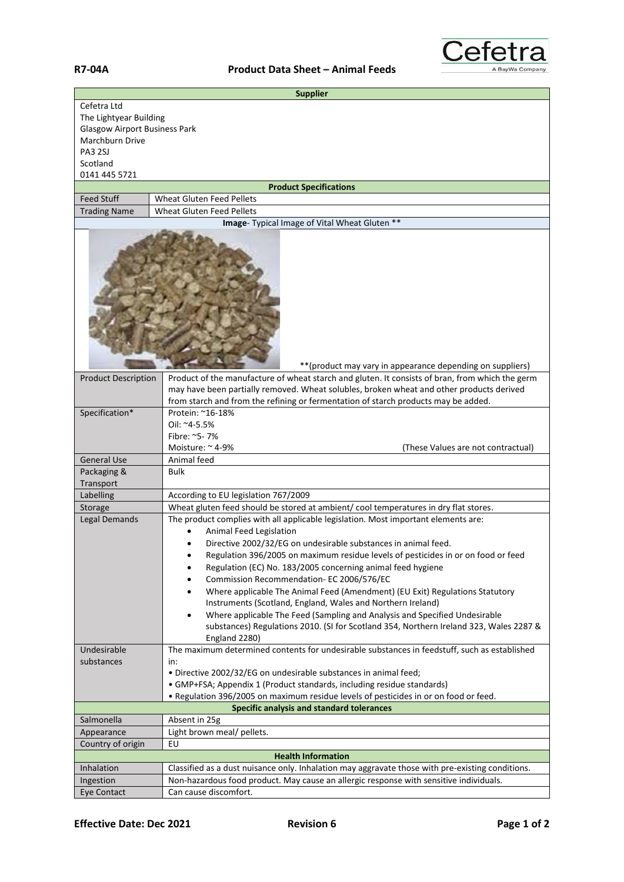

| <b>Supplier</b>                                                                                                                          |                                                                                                                                                                                                                                                                                                                                                                                                                                                                                                                                                                                                                                                                                                                                                                              |  |
|------------------------------------------------------------------------------------------------------------------------------------------|------------------------------------------------------------------------------------------------------------------------------------------------------------------------------------------------------------------------------------------------------------------------------------------------------------------------------------------------------------------------------------------------------------------------------------------------------------------------------------------------------------------------------------------------------------------------------------------------------------------------------------------------------------------------------------------------------------------------------------------------------------------------------|--|
| Cefetra Ltd<br>The Lightyear Building<br><b>Glasgow Airport Business Park</b><br>Marchburn Drive<br>PA3 2SJ<br>Scotland<br>0141 445 5721 |                                                                                                                                                                                                                                                                                                                                                                                                                                                                                                                                                                                                                                                                                                                                                                              |  |
|                                                                                                                                          | <b>Product Specifications</b>                                                                                                                                                                                                                                                                                                                                                                                                                                                                                                                                                                                                                                                                                                                                                |  |
| <b>Feed Stuff</b>                                                                                                                        | <b>Wheat Gluten Feed Pellets</b>                                                                                                                                                                                                                                                                                                                                                                                                                                                                                                                                                                                                                                                                                                                                             |  |
| <b>Trading Name</b><br><b>Wheat Gluten Feed Pellets</b>                                                                                  |                                                                                                                                                                                                                                                                                                                                                                                                                                                                                                                                                                                                                                                                                                                                                                              |  |
| Image- Typical Image of Vital Wheat Gluten **<br>** (product may vary in appearance depending on suppliers)                              |                                                                                                                                                                                                                                                                                                                                                                                                                                                                                                                                                                                                                                                                                                                                                                              |  |
| <b>Product Description</b>                                                                                                               | Product of the manufacture of wheat starch and gluten. It consists of bran, from which the germ                                                                                                                                                                                                                                                                                                                                                                                                                                                                                                                                                                                                                                                                              |  |
|                                                                                                                                          | may have been partially removed. Wheat solubles, broken wheat and other products derived                                                                                                                                                                                                                                                                                                                                                                                                                                                                                                                                                                                                                                                                                     |  |
|                                                                                                                                          | from starch and from the refining or fermentation of starch products may be added.                                                                                                                                                                                                                                                                                                                                                                                                                                                                                                                                                                                                                                                                                           |  |
| Specification*                                                                                                                           | Protein: ~16-18%<br>Oil: ~4-5.5%<br>Fibre: ~5-7%<br>Moisture: ~4-9%<br>(These Values are not contractual)                                                                                                                                                                                                                                                                                                                                                                                                                                                                                                                                                                                                                                                                    |  |
| <b>General Use</b>                                                                                                                       | Animal feed                                                                                                                                                                                                                                                                                                                                                                                                                                                                                                                                                                                                                                                                                                                                                                  |  |
| Packaging &                                                                                                                              | <b>Bulk</b>                                                                                                                                                                                                                                                                                                                                                                                                                                                                                                                                                                                                                                                                                                                                                                  |  |
| Transport                                                                                                                                |                                                                                                                                                                                                                                                                                                                                                                                                                                                                                                                                                                                                                                                                                                                                                                              |  |
| Labelling                                                                                                                                | According to EU legislation 767/2009                                                                                                                                                                                                                                                                                                                                                                                                                                                                                                                                                                                                                                                                                                                                         |  |
| Storage                                                                                                                                  | Wheat gluten feed should be stored at ambient/cool temperatures in dry flat stores.                                                                                                                                                                                                                                                                                                                                                                                                                                                                                                                                                                                                                                                                                          |  |
| Legal Demands                                                                                                                            | The product complies with all applicable legislation. Most important elements are:<br>Animal Feed Legislation<br>Directive 2002/32/EG on undesirable substances in animal feed.<br>Regulation 396/2005 on maximum residue levels of pesticides in or on food or feed<br>Regulation (EC) No. 183/2005 concerning animal feed hygiene<br>$\bullet$<br>Commission Recommendation- EC 2006/576/EC<br>$\bullet$<br>Where applicable The Animal Feed (Amendment) (EU Exit) Regulations Statutory<br>$\bullet$<br>Instruments (Scotland, England, Wales and Northern Ireland)<br>Where applicable The Feed (Sampling and Analysis and Specified Undesirable<br>$\bullet$<br>substances) Regulations 2010. (SI for Scotland 354, Northern Ireland 323, Wales 2287 &<br>England 2280) |  |
| Undesirable                                                                                                                              | The maximum determined contents for undesirable substances in feedstuff, such as established                                                                                                                                                                                                                                                                                                                                                                                                                                                                                                                                                                                                                                                                                 |  |
| substances                                                                                                                               | in:<br>. Directive 2002/32/EG on undesirable substances in animal feed;<br>• GMP+FSA; Appendix 1 (Product standards, including residue standards)<br>. Regulation 396/2005 on maximum residue levels of pesticides in or on food or feed.                                                                                                                                                                                                                                                                                                                                                                                                                                                                                                                                    |  |
|                                                                                                                                          | <b>Specific analysis and standard tolerances</b>                                                                                                                                                                                                                                                                                                                                                                                                                                                                                                                                                                                                                                                                                                                             |  |
| Salmonella                                                                                                                               | Absent in 25g                                                                                                                                                                                                                                                                                                                                                                                                                                                                                                                                                                                                                                                                                                                                                                |  |
| Appearance                                                                                                                               | Light brown meal/ pellets.                                                                                                                                                                                                                                                                                                                                                                                                                                                                                                                                                                                                                                                                                                                                                   |  |
| Country of origin                                                                                                                        | EU                                                                                                                                                                                                                                                                                                                                                                                                                                                                                                                                                                                                                                                                                                                                                                           |  |
| <b>Health Information</b>                                                                                                                |                                                                                                                                                                                                                                                                                                                                                                                                                                                                                                                                                                                                                                                                                                                                                                              |  |
| Inhalation                                                                                                                               | Classified as a dust nuisance only. Inhalation may aggravate those with pre-existing conditions.                                                                                                                                                                                                                                                                                                                                                                                                                                                                                                                                                                                                                                                                             |  |
| Ingestion                                                                                                                                | Non-hazardous food product. May cause an allergic response with sensitive individuals.                                                                                                                                                                                                                                                                                                                                                                                                                                                                                                                                                                                                                                                                                       |  |
| Eye Contact                                                                                                                              | Can cause discomfort.                                                                                                                                                                                                                                                                                                                                                                                                                                                                                                                                                                                                                                                                                                                                                        |  |